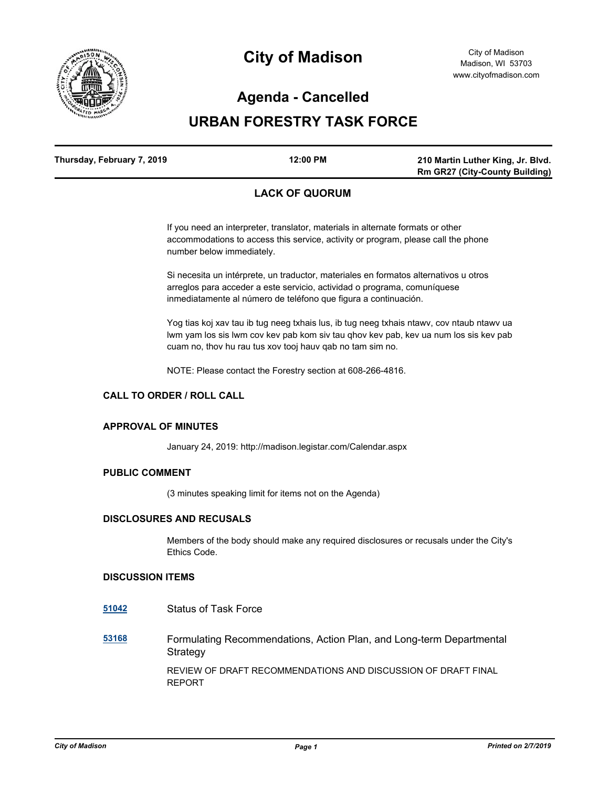

# **City of Madison**

# **Agenda - Cancelled**

# **URBAN FORESTRY TASK FORCE**

| Thursday, February 7, 2019 | $12:00$ PM | 210 Martin Luther King, Jr. Blvd.     |
|----------------------------|------------|---------------------------------------|
|                            |            | <b>Rm GR27 (City-County Building)</b> |

## **LACK OF QUORUM**

If you need an interpreter, translator, materials in alternate formats or other accommodations to access this service, activity or program, please call the phone number below immediately.

Si necesita un intérprete, un traductor, materiales en formatos alternativos u otros arreglos para acceder a este servicio, actividad o programa, comuníquese inmediatamente al número de teléfono que figura a continuación.

Yog tias koj xav tau ib tug neeg txhais lus, ib tug neeg txhais ntawv, cov ntaub ntawv ua lwm yam los sis lwm cov kev pab kom siv tau qhov kev pab, kev ua num los sis kev pab cuam no, thov hu rau tus xov tooj hauv qab no tam sim no.

NOTE: Please contact the Forestry section at 608-266-4816.

### **CALL TO ORDER / ROLL CALL**

#### **APPROVAL OF MINUTES**

January 24, 2019: http://madison.legistar.com/Calendar.aspx

#### **PUBLIC COMMENT**

(3 minutes speaking limit for items not on the Agenda)

#### **DISCLOSURES AND RECUSALS**

Members of the body should make any required disclosures or recusals under the City's Ethics Code.

#### **DISCUSSION ITEMS**

- **[51042](http://madison.legistar.com/gateway.aspx?m=l&id=/matter.aspx?key=56768)** Status of Task Force
- **[53168](http://madison.legistar.com/gateway.aspx?m=l&id=/matter.aspx?key=59792)** Formulating Recommendations, Action Plan, and Long-term Departmental Strategy REVIEW OF DRAFT RECOMMENDATIONS AND DISCUSSION OF DRAFT FINAL REPORT